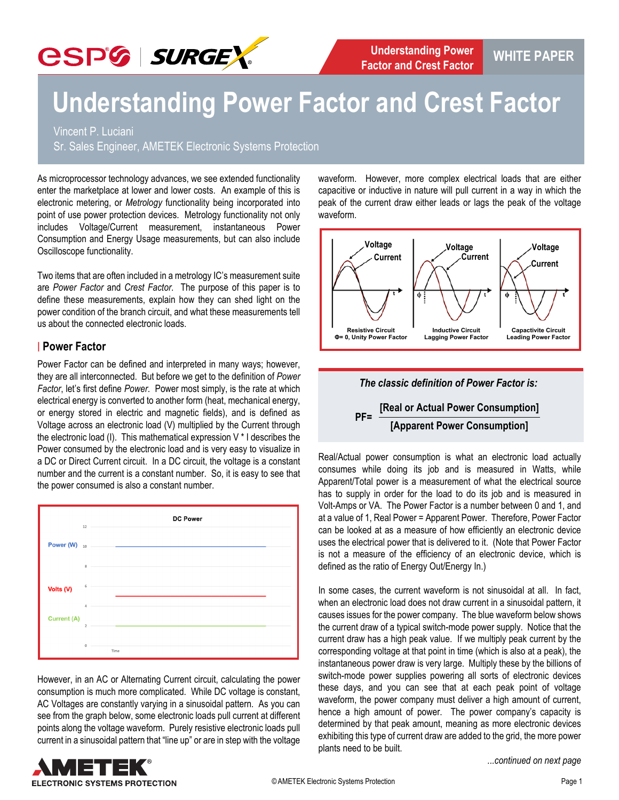

## **Understanding Power Factor and Crest Factor**

Vincent P. Luciani

Sr. Sales Engineer, AMETEK Electronic Systems Protection

As microprocessor technology advances, we see extended functionality enter the marketplace at lower and lower costs. An example of this is electronic metering, or *Metrology* functionality being incorporated into point of use power protection devices. Metrology functionality not only includes Voltage/Current measurement, instantaneous Power Consumption and Energy Usage measurements, but can also include Oscilloscope functionality.

Two items that are often included in a metrology IC's measurement suite are *Power Factor* and *Crest Factor*. The purpose of this paper is to define these measurements, explain how they can shed light on the power condition of the branch circuit, and what these measurements tell us about the connected electronic loads.

#### **| Power Factor**

Power Factor can be defined and interpreted in many ways; however, they are all interconnected. But before we get to the definition of *Power Factor*, let's first define *Power*. Power most simply, is the rate at which electrical energy is converted to another form (heat, mechanical energy, or energy stored in electric and magnetic fields), and is defined as Voltage across an electronic load (V) multiplied by the Current through the electronic load (I). This mathematical expression V \* I describes the Power consumed by the electronic load and is very easy to visualize in a DC or Direct Current circuit. In a DC circuit, the voltage is a constant number and the current is a constant number. So, it is easy to see that the power consumed is also a constant number.



However, in an AC or Alternating Current circuit, calculating the power consumption is much more complicated. While DC voltage is constant, AC Voltages are constantly varying in a sinusoidal pattern. As you can see from the graph below, some electronic loads pull current at different points along the voltage waveform. Purely resistive electronic loads pull current in a sinusoidal pattern that "line up" or are in step with the voltage waveform. However, more complex electrical loads that are either capacitive or inductive in nature will pull current in a way in which the peak of the current draw either leads or lags the peak of the voltage waveform.





## **PF= [Real or Actual Power Consumption] [Apparent Power Consumption]**

Real/Actual power consumption is what an electronic load actually consumes while doing its job and is measured in Watts, while Apparent/Total power is a measurement of what the electrical source has to supply in order for the load to do its job and is measured in Volt-Amps or VA. The Power Factor is a number between 0 and 1, and at a value of 1, Real Power = Apparent Power. Therefore, Power Factor can be looked at as a measure of how efficiently an electronic device uses the electrical power that is delivered to it. (Note that Power Factor is not a measure of the efficiency of an electronic device, which is defined as the ratio of Energy Out/Energy In.)

In some cases, the current waveform is not sinusoidal at all. In fact, when an electronic load does not draw current in a sinusoidal pattern, it causes issues for the power company. The blue waveform below shows the current draw of a typical switch-mode power supply. Notice that the current draw has a high peak value. If we multiply peak current by the corresponding voltage at that point in time (which is also at a peak), the instantaneous power draw is very large. Multiply these by the billions of switch-mode power supplies powering all sorts of electronic devices these days, and you can see that at each peak point of voltage waveform, the power company must deliver a high amount of current, hence a high amount of power. The power company's capacity is determined by that peak amount, meaning as more electronic devices exhibiting this type of current draw are added to the grid, the more power plants need to be built.

*...continued on next page*

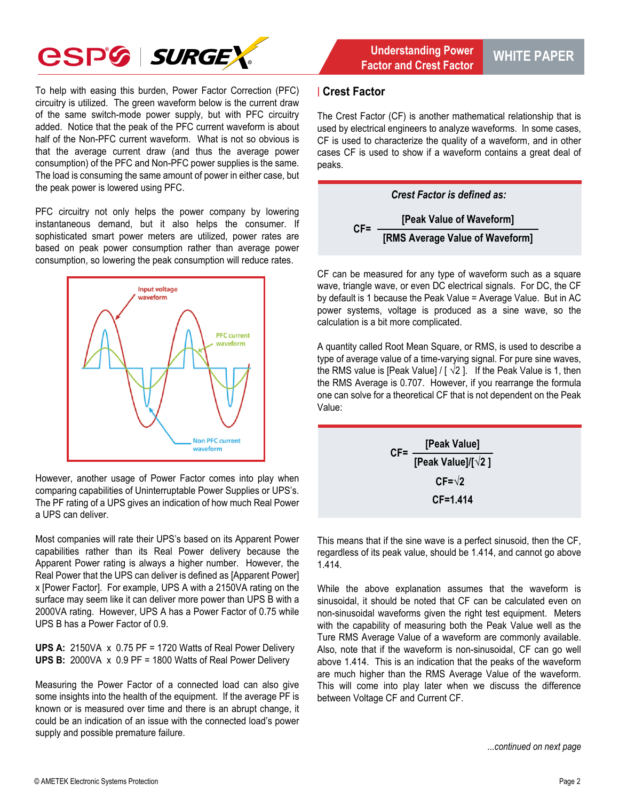

To help with easing this burden, Power Factor Correction (PFC) circuitry is utilized. The green waveform below is the current draw of the same switch-mode power supply, but with PFC circuitry added. Notice that the peak of the PFC current waveform is about half of the Non-PFC current waveform. What is not so obvious is that the average current draw (and thus the average power consumption) of the PFC and Non-PFC power supplies is the same. The load is consuming the same amount of power in either case, but the peak power is lowered using PFC.

PFC circuitry not only helps the power company by lowering instantaneous demand, but it also helps the consumer. If sophisticated smart power meters are utilized, power rates are based on peak power consumption rather than average power consumption, so lowering the peak consumption will reduce rates.



However, another usage of Power Factor comes into play when comparing capabilities of Uninterruptable Power Supplies or UPS's. The PF rating of a UPS gives an indication of how much Real Power a UPS can deliver.

Most companies will rate their UPS's based on its Apparent Power capabilities rather than its Real Power delivery because the Apparent Power rating is always a higher number. However, the Real Power that the UPS can deliver is defined as [Apparent Power] x [Power Factor]. For example, UPS A with a 2150VA rating on the surface may seem like it can deliver more power than UPS B with a 2000VA rating. However, UPS A has a Power Factor of 0.75 while UPS B has a Power Factor of 0.9.

**UPS A:** 2150VA x 0.75 PF = 1720 Watts of Real Power Delivery **UPS B:** 2000VA x 0.9 PF = 1800 Watts of Real Power Delivery

Measuring the Power Factor of a connected load can also give some insights into the health of the equipment. If the average PF is known or is measured over time and there is an abrupt change, it could be an indication of an issue with the connected load's power supply and possible premature failure.

#### **| Crest Factor**

The Crest Factor (CF) is another mathematical relationship that is used by electrical engineers to analyze waveforms. In some cases, CF is used to characterize the quality of a waveform, and in other cases CF is used to show if a waveform contains a great deal of peaks.



CF can be measured for any type of waveform such as a square wave, triangle wave, or even DC electrical signals. For DC, the CF by default is 1 because the Peak Value = Average Value. But in AC power systems, voltage is produced as a sine wave, so the calculation is a bit more complicated.

A quantity called Root Mean Square, or RMS, is used to describe a type of average value of a time-varying signal. For pure sine waves, the RMS value is [Peak Value] /  $\sqrt{2}$  ]. If the Peak Value is 1, then the RMS Average is 0.707. However, if you rearrange the formula one can solve for a theoretical CF that is not dependent on the Peak Value:

$$
CF=\frac{[Peak Value]}{[Peak Value]/[\sqrt{2}]}
$$
  

$$
CF=\sqrt{2}
$$
  

$$
CF=1.414
$$

This means that if the sine wave is a perfect sinusoid, then the CF, regardless of its peak value, should be 1.414, and cannot go above 1.414.

While the above explanation assumes that the waveform is sinusoidal, it should be noted that CF can be calculated even on non-sinusoidal waveforms given the right test equipment. Meters with the capability of measuring both the Peak Value well as the Ture RMS Average Value of a waveform are commonly available. Also, note that if the waveform is non-sinusoidal, CF can go well above 1.414. This is an indication that the peaks of the waveform are much higher than the RMS Average Value of the waveform. This will come into play later when we discuss the difference between Voltage CF and Current CF.